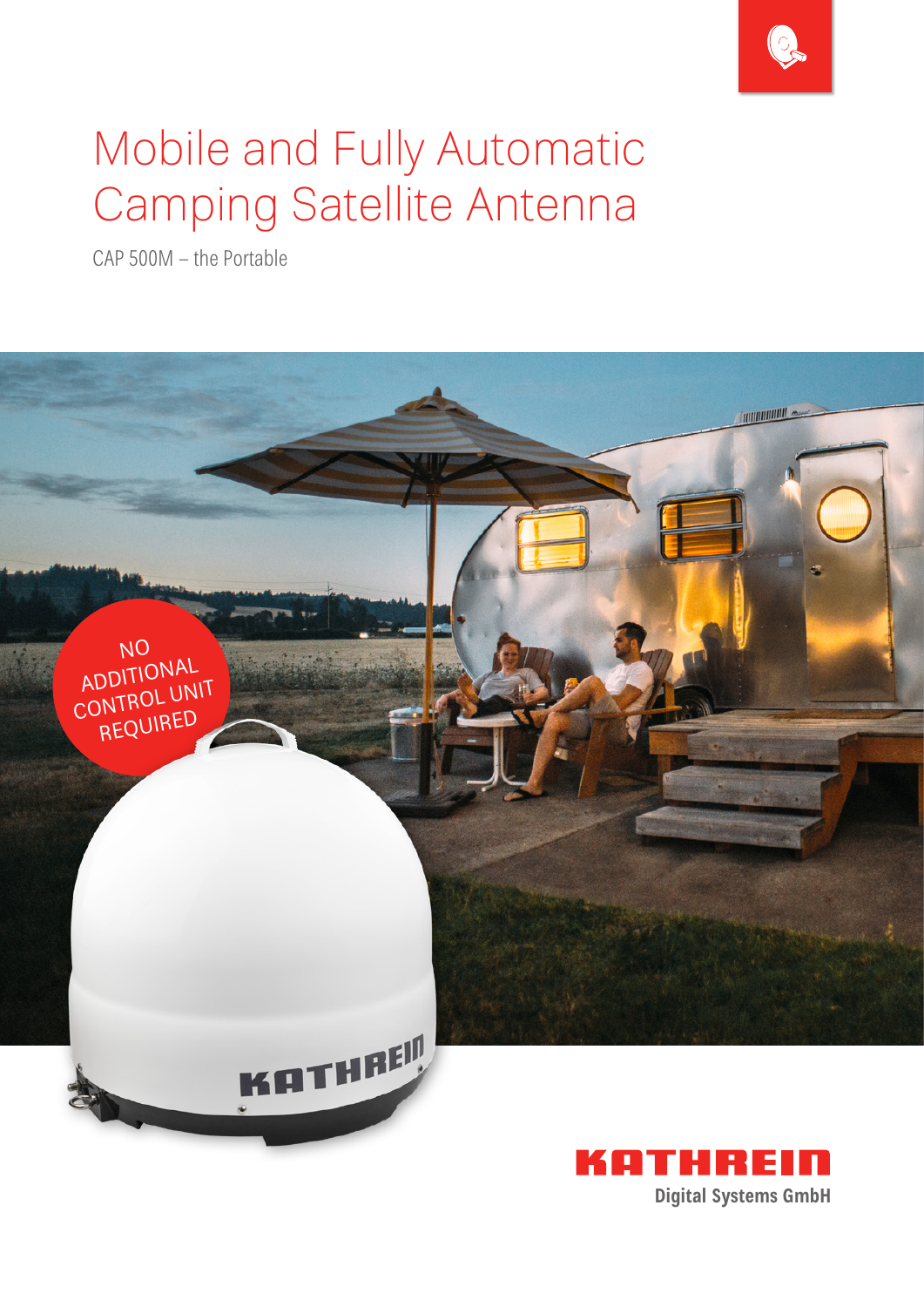

# Mobile and Fully Automatic Camping Satellite Antenna

CAP 500M - the Portable

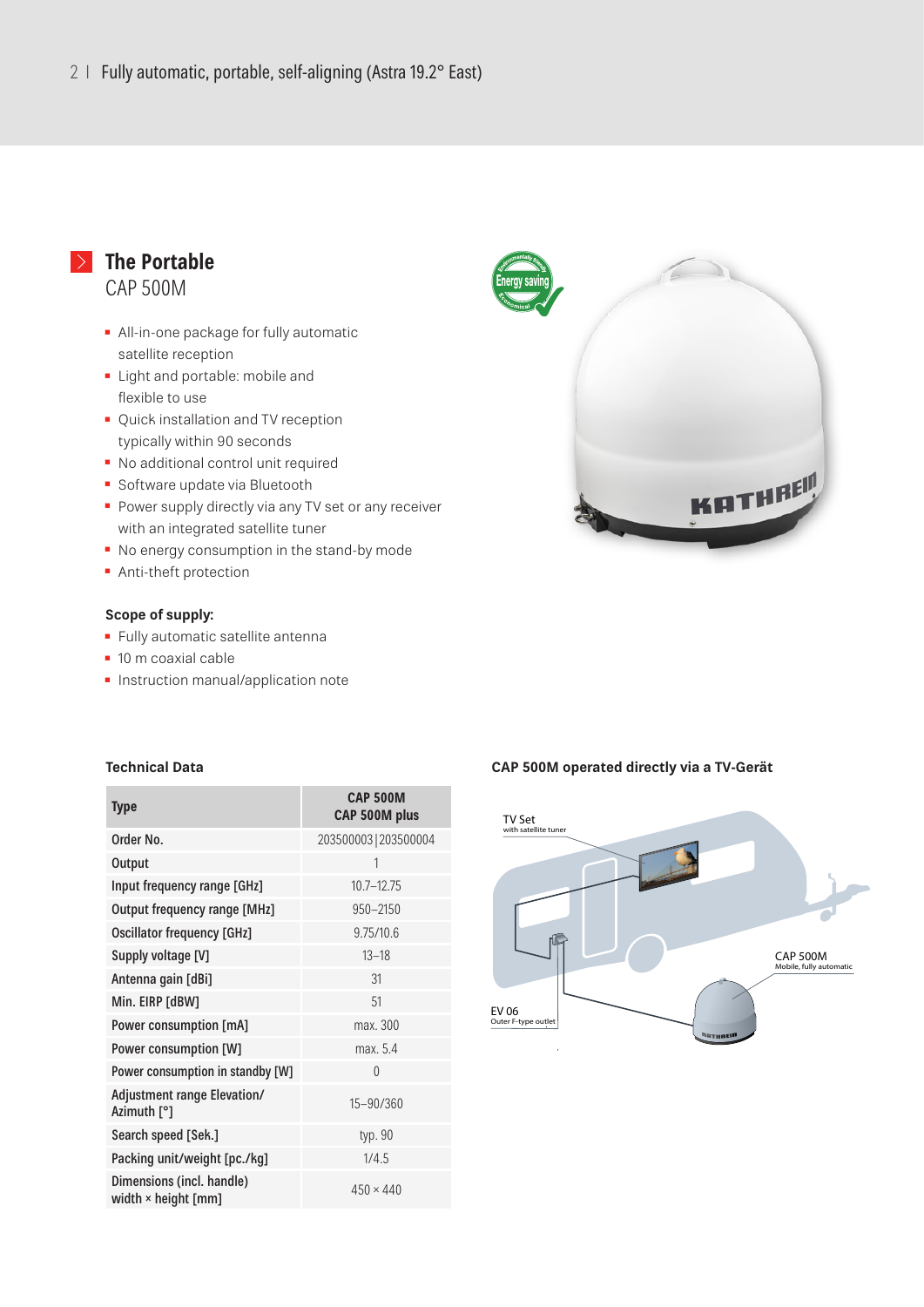## **The Portable** CAP 500M

- **E** All-in-one package for fully automatic satellite reception
- **Example 1** Light and portable: mobile and flexible to use
- **Quick installation and TV reception** typically within 90 seconds
- No additional control unit required
- **Software update via Bluetooth**
- **Power supply directly via any TV set or any receiver** with an integrated satellite tuner
- No energy consumption in the stand-by mode
- **Anti-theft protection**

#### **Scope of supply:**

- **·** Fully automatic satellite antenna
- 10 m coaxial cable
- **·** Instruction manual/application note



#### **Technical Data**

| <b>Type</b>                                             | <b>CAP 500M</b><br>CAP 500M plus |
|---------------------------------------------------------|----------------------------------|
| Order No.                                               | 203500003   203500004            |
| Output                                                  | 1                                |
| Input frequency range [GHz]                             | $10.7 - 12.75$                   |
| <b>Output frequency range [MHz]</b>                     | $950 - 2150$                     |
| <b>Oscillator frequency [GHz]</b>                       | 9.75/10.6                        |
| Supply voltage [V]                                      | $13 - 18$                        |
| Antenna gain [dBi]                                      | 31                               |
| Min. EIRP [dBW]                                         | 51                               |
| Power consumption [mA]                                  | max. 300                         |
| Power consumption [W]                                   | max. 5.4                         |
| Power consumption in standby [W]                        | $\Omega$                         |
| <b>Adjustment range Elevation/</b><br>Azimuth [°]       | 15-90/360                        |
| Search speed [Sek.]                                     | typ. 90                          |
| Packing unit/weight [pc./kg]                            | 1/4.5                            |
| Dimensions (incl. handle)<br>width $\times$ height [mm] | $450 \times 440$                 |

#### **CAP 500M operated directly via a TV-Gerät**

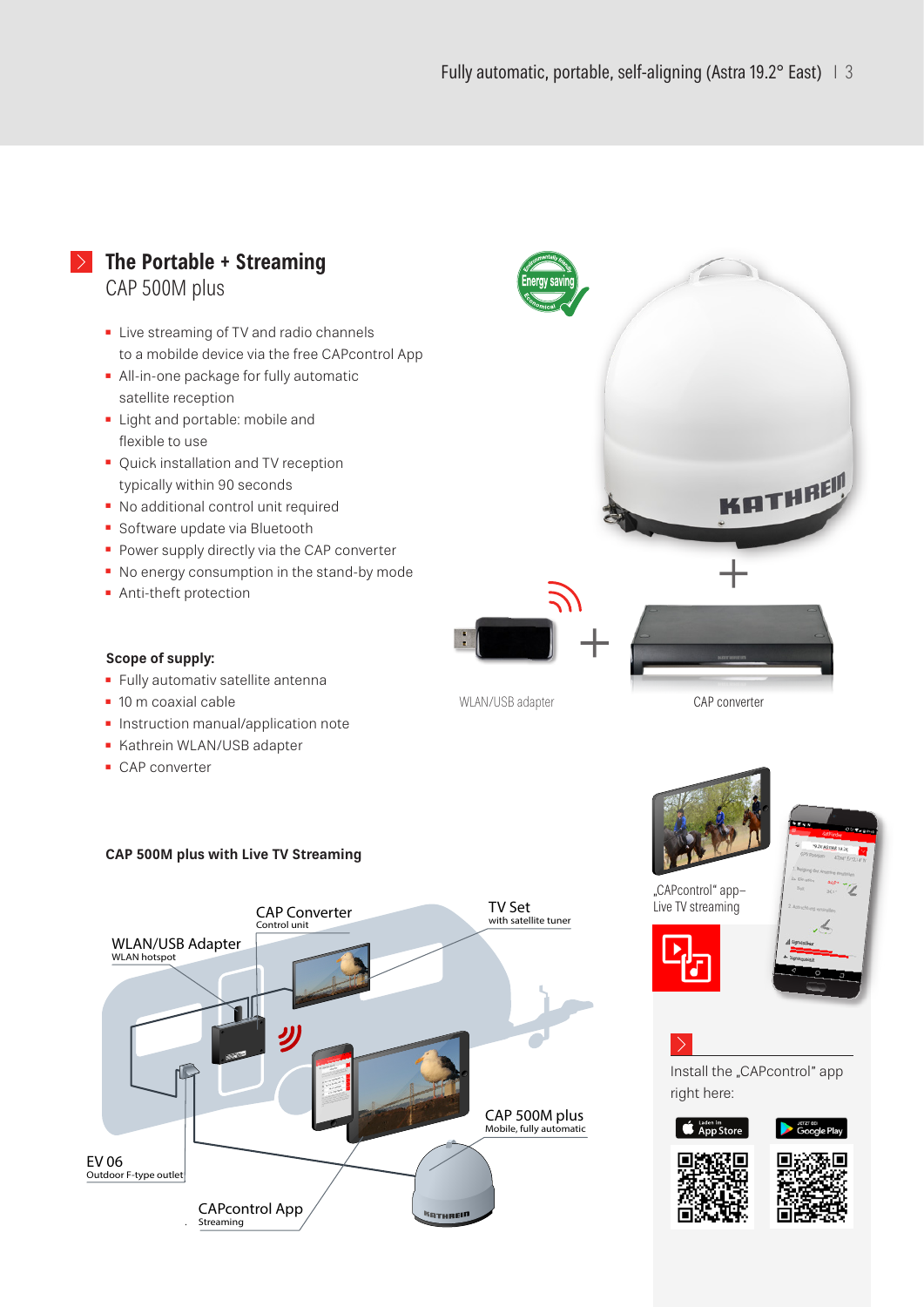### **The Portable + Streaming** CAP 500M plus

- **E** Live streaming of TV and radio channels to a mobilde device via the free CAPcontrol App
- **All-in-one package for fully automatic** satellite reception
- **E** Light and portable: mobile and flexible to use
- Quick installation and TV reception typically within 90 seconds
- No additional control unit required
- Software update via Bluetooth
- **Power supply directly via the CAP converter**
- No energy consumption in the stand-by mode
- **•** Anti-theft protection



**Scope of supply:**

- **EXECUTE:** Fully automativ satellite antenna
- 10 m coaxial cable
- **· Instruction manual/application note**
- **E** Kathrein WLAN/USB adapter
- CAP converter

# **CAP 500M plus with Live TV Streaming**



÷





.CAPcontrol" app-Live TV streaming





Install the "CAPcontrol" app right here: